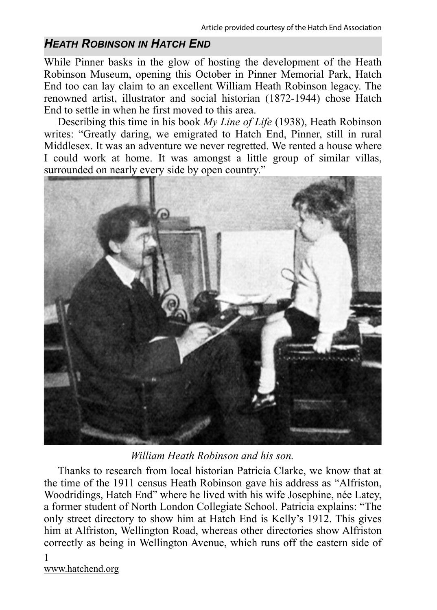## *HEATH ROBINSON IN HATCH END*

While Pinner basks in the glow of hosting the development of the Heath Robinson Museum, opening this October in Pinner Memorial Park, Hatch End too can lay claim to an excellent William Heath Robinson legacy. The renowned artist, illustrator and social historian (1872-1944) chose Hatch End to settle in when he first moved to this area.

Describing this time in his book *My Line of Life* (1938), Heath Robinson writes: "Greatly daring, we emigrated to Hatch End, Pinner, still in rural Middlesex. It was an adventure we never regretted. We rented a house where I could work at home. It was amongst a little group of similar villas, surrounded on nearly every side by open country."



*William Heath Robinson and his son.* 

Thanks to research from local historian Patricia Clarke, we know that at the time of the 1911 census Heath Robinson gave his address as "Alfriston, Woodridings, Hatch End" where he lived with his wife Josephine, née Latey, a former student of North London Collegiate School. Patricia explains: "The only street directory to show him at Hatch End is Kelly's 1912. This gives him at Alfriston, Wellington Road, whereas other directories show Alfriston correctly as being in Wellington Avenue, which runs off the eastern side of

1 www.hatchend.org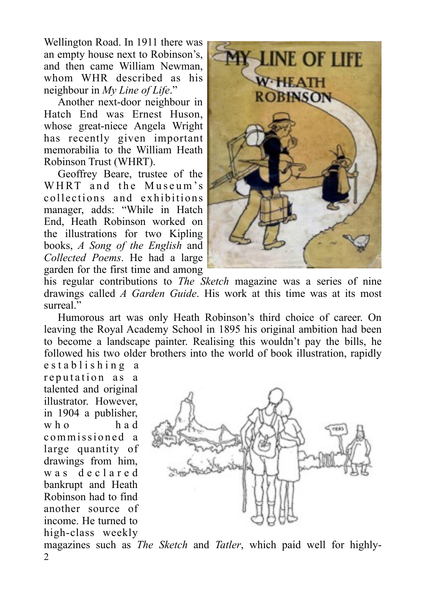Wellington Road. In 1911 there was an empty house next to Robinson's, and then came William Newman, whom WHR described as his neighbour in *My Line of Life*."

Another next-door neighbour in Hatch End was Ernest Huson, whose great-niece Angela Wright has recently given important memorabilia to the William Heath Robinson Trust (WHRT).

Geoffrey Beare, trustee of the WHRT and the Museum's collections and exhibitions manager, adds: "While in Hatch End, Heath Robinson worked on the illustrations for two Kipling books, *A Song of the English* and *Collected Poems*. He had a large garden for the first time and among



his regular contributions to *The Sketch* magazine was a series of nine drawings called *A Garden Guide*. His work at this time was at its most surreal"

Humorous art was only Heath Robinson's third choice of career. On leaving the Royal Academy School in 1895 his original ambition had been to become a landscape painter. Realising this wouldn't pay the bills, he followed his two older brothers into the world of book illustration, rapidly

e stablishing a reputation as a talented and original illustrator. However, in 1904 a publisher, who had commissioned a large quantity of drawings from him, w a s d e c l a r e d bankrupt and Heath Robinson had to find another source of income. He turned to high-class weekly



magazines such as *The Sketch* and *Tatler*, which paid well for highly- $\mathfrak{D}$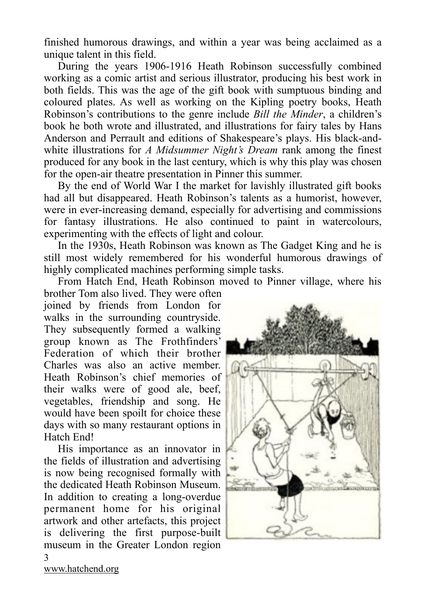finished humorous drawings, and within a year was being acclaimed as a unique talent in this field.

During the years 1906-1916 Heath Robinson successfully combined working as a comic artist and serious illustrator, producing his best work in both fields. This was the age of the gift book with sumptuous binding and coloured plates. As well as working on the Kipling poetry books, Heath Robinson's contributions to the genre include *Bill the Minder*, a children's book he both wrote and illustrated, and illustrations for fairy tales by Hans Anderson and Perrault and editions of Shakespeare's plays. His black-andwhite illustrations for *A Midsummer Night's Dream* rank among the finest produced for any book in the last century, which is why this play was chosen for the open-air theatre presentation in Pinner this summer.

By the end of World War I the market for lavishly illustrated gift books had all but disappeared. Heath Robinson's talents as a humorist, however, were in ever-increasing demand, especially for advertising and commissions for fantasy illustrations. He also continued to paint in watercolours, experimenting with the effects of light and colour.

In the 1930s, Heath Robinson was known as The Gadget King and he is still most widely remembered for his wonderful humorous drawings of highly complicated machines performing simple tasks.

From Hatch End, Heath Robinson moved to Pinner village, where his

brother Tom also lived. They were often joined by friends from London for walks in the surrounding countryside. They subsequently formed a walking group known as The Frothfinders' Federation of which their brother Charles was also an active member. Heath Robinson's chief memories of their walks were of good ale, beef, vegetables, friendship and song. He would have been spoilt for choice these days with so many restaurant options in Hatch End!

His importance as an innovator in the fields of illustration and advertising is now being recognised formally with the dedicated Heath Robinson Museum. In addition to creating a long-overdue permanent home for his original artwork and other artefacts, this project is delivering the first purpose-built museum in the Greater London region



[www.hatchend.org](http://www.hatchend.org)